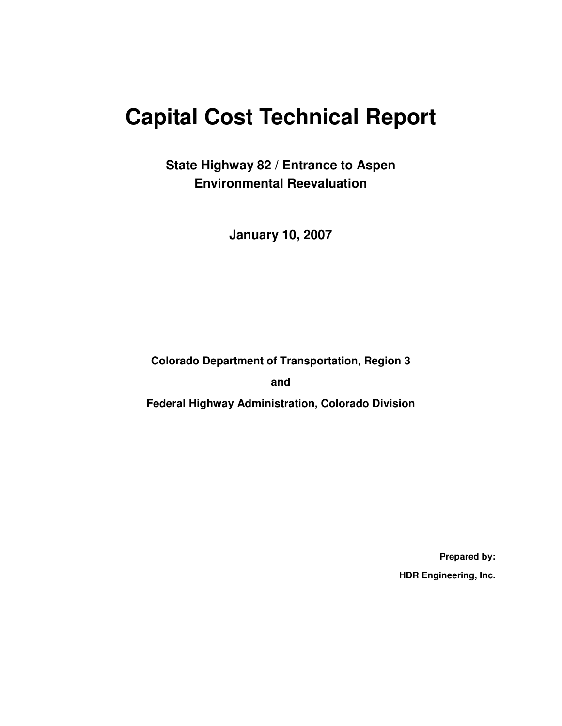# **Capital Cost Technical Report**

**State Highway 82 / Entrance to Aspen Environmental Reevaluation** 

**January 10, 2007** 

**Colorado Department of Transportation, Region 3** 

**and** 

**Federal Highway Administration, Colorado Division** 

**Prepared by: HDR Engineering, Inc.**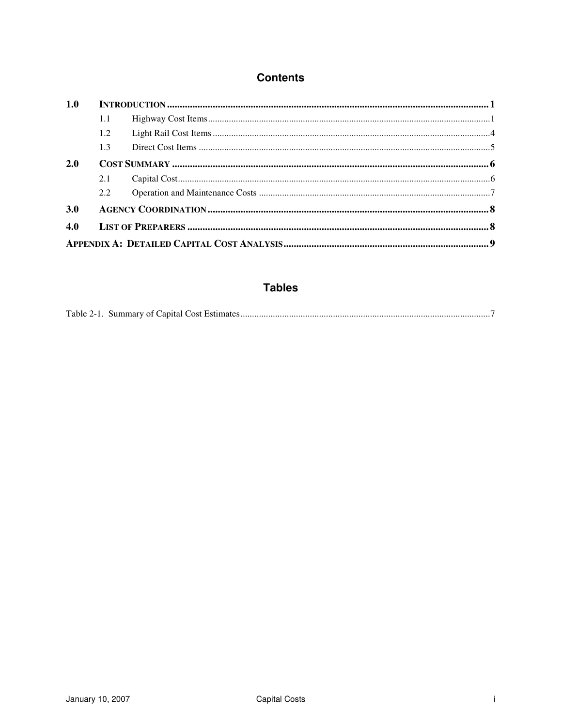### **Contents**

| 1.0 |     |  |  |  |  |  |
|-----|-----|--|--|--|--|--|
|     | 1.1 |  |  |  |  |  |
|     | 1.2 |  |  |  |  |  |
|     | 1.3 |  |  |  |  |  |
| 2.0 |     |  |  |  |  |  |
|     | 2.1 |  |  |  |  |  |
|     | 2.2 |  |  |  |  |  |
| 3.0 |     |  |  |  |  |  |
| 4.0 |     |  |  |  |  |  |
|     |     |  |  |  |  |  |
|     |     |  |  |  |  |  |

### **Tables**

|--|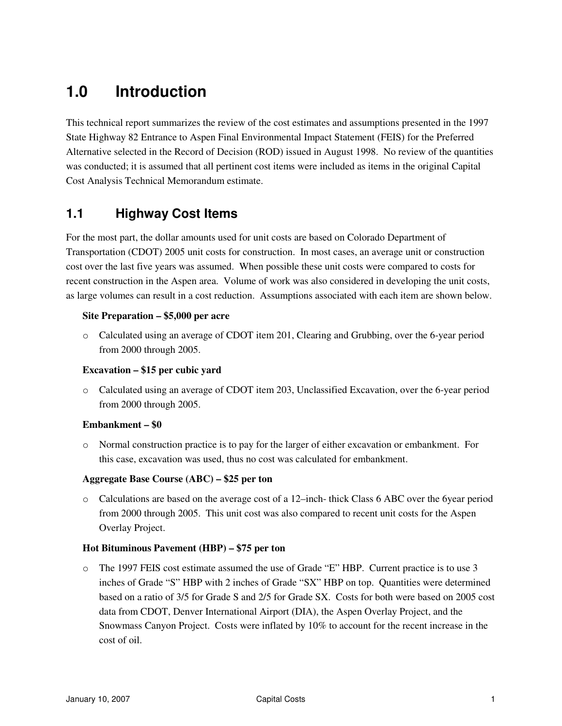## **1.0 Introduction**

This technical report summarizes the review of the cost estimates and assumptions presented in the 1997 State Highway 82 Entrance to Aspen Final Environmental Impact Statement (FEIS) for the Preferred Alternative selected in the Record of Decision (ROD) issued in August 1998. No review of the quantities was conducted; it is assumed that all pertinent cost items were included as items in the original Capital Cost Analysis Technical Memorandum estimate.

### **1.1 Highway Cost Items**

For the most part, the dollar amounts used for unit costs are based on Colorado Department of Transportation (CDOT) 2005 unit costs for construction. In most cases, an average unit or construction cost over the last five years was assumed. When possible these unit costs were compared to costs for recent construction in the Aspen area. Volume of work was also considered in developing the unit costs, as large volumes can result in a cost reduction. Assumptions associated with each item are shown below.

#### **Site Preparation – \$5,000 per acre**

o Calculated using an average of CDOT item 201, Clearing and Grubbing, over the 6-year period from 2000 through 2005.

#### **Excavation – \$15 per cubic yard**

o Calculated using an average of CDOT item 203, Unclassified Excavation, over the 6-year period from 2000 through 2005.

#### **Embankment – \$0**

o Normal construction practice is to pay for the larger of either excavation or embankment. For this case, excavation was used, thus no cost was calculated for embankment.

#### **Aggregate Base Course (ABC) – \$25 per ton**

o Calculations are based on the average cost of a 12–inch- thick Class 6 ABC over the 6year period from 2000 through 2005. This unit cost was also compared to recent unit costs for the Aspen Overlay Project.

#### **Hot Bituminous Pavement (HBP) – \$75 per ton**

o The 1997 FEIS cost estimate assumed the use of Grade "E" HBP. Current practice is to use 3 inches of Grade "S" HBP with 2 inches of Grade "SX" HBP on top. Quantities were determined based on a ratio of 3/5 for Grade S and 2/5 for Grade SX. Costs for both were based on 2005 cost data from CDOT, Denver International Airport (DIA), the Aspen Overlay Project, and the Snowmass Canyon Project. Costs were inflated by 10% to account for the recent increase in the cost of oil.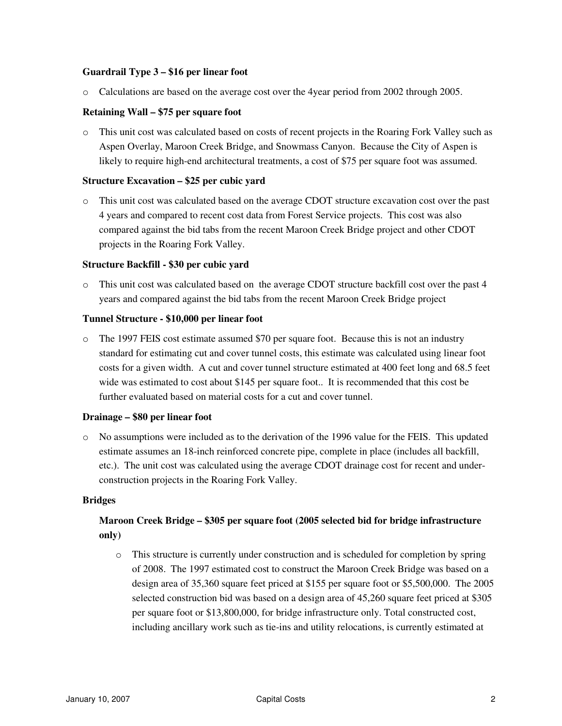#### **Guardrail Type 3 – \$16 per linear foot**

o Calculations are based on the average cost over the 4year period from 2002 through 2005.

#### **Retaining Wall – \$75 per square foot**

o This unit cost was calculated based on costs of recent projects in the Roaring Fork Valley such as Aspen Overlay, Maroon Creek Bridge, and Snowmass Canyon. Because the City of Aspen is likely to require high-end architectural treatments, a cost of \$75 per square foot was assumed.

#### **Structure Excavation – \$25 per cubic yard**

o This unit cost was calculated based on the average CDOT structure excavation cost over the past 4 years and compared to recent cost data from Forest Service projects. This cost was also compared against the bid tabs from the recent Maroon Creek Bridge project and other CDOT projects in the Roaring Fork Valley.

#### **Structure Backfill - \$30 per cubic yard**

o This unit cost was calculated based on the average CDOT structure backfill cost over the past 4 years and compared against the bid tabs from the recent Maroon Creek Bridge project

#### **Tunnel Structure - \$10,000 per linear foot**

o The 1997 FEIS cost estimate assumed \$70 per square foot. Because this is not an industry standard for estimating cut and cover tunnel costs, this estimate was calculated using linear foot costs for a given width. A cut and cover tunnel structure estimated at 400 feet long and 68.5 feet wide was estimated to cost about \$145 per square foot.. It is recommended that this cost be further evaluated based on material costs for a cut and cover tunnel.

#### **Drainage – \$80 per linear foot**

o No assumptions were included as to the derivation of the 1996 value for the FEIS. This updated estimate assumes an 18-inch reinforced concrete pipe, complete in place (includes all backfill, etc.). The unit cost was calculated using the average CDOT drainage cost for recent and underconstruction projects in the Roaring Fork Valley.

#### **Bridges**

#### **Maroon Creek Bridge – \$305 per square foot (2005 selected bid for bridge infrastructure only)**

o This structure is currently under construction and is scheduled for completion by spring of 2008. The 1997 estimated cost to construct the Maroon Creek Bridge was based on a design area of 35,360 square feet priced at \$155 per square foot or \$5,500,000. The 2005 selected construction bid was based on a design area of 45,260 square feet priced at \$305 per square foot or \$13,800,000, for bridge infrastructure only. Total constructed cost, including ancillary work such as tie-ins and utility relocations, is currently estimated at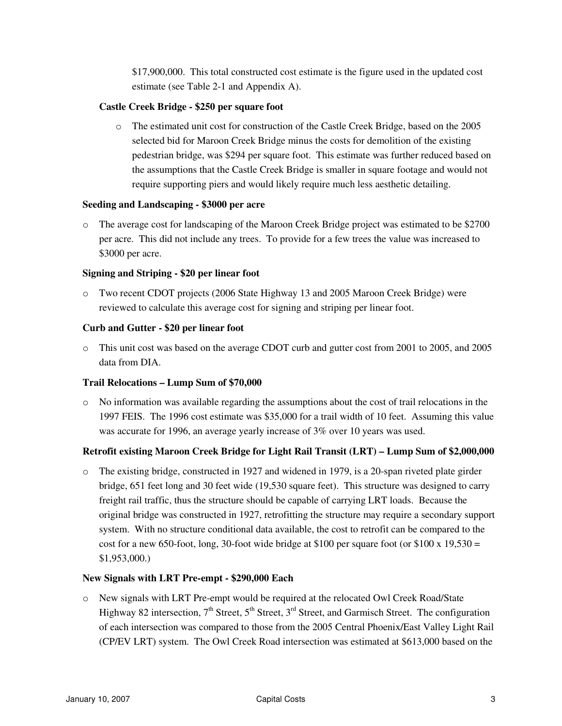\$17,900,000. This total constructed cost estimate is the figure used in the updated cost estimate (see Table 2-1 and Appendix A).

#### **Castle Creek Bridge - \$250 per square foot**

o The estimated unit cost for construction of the Castle Creek Bridge, based on the 2005 selected bid for Maroon Creek Bridge minus the costs for demolition of the existing pedestrian bridge, was \$294 per square foot. This estimate was further reduced based on the assumptions that the Castle Creek Bridge is smaller in square footage and would not require supporting piers and would likely require much less aesthetic detailing.

#### **Seeding and Landscaping - \$3000 per acre**

o The average cost for landscaping of the Maroon Creek Bridge project was estimated to be \$2700 per acre. This did not include any trees. To provide for a few trees the value was increased to \$3000 per acre.

#### **Signing and Striping - \$20 per linear foot**

o Two recent CDOT projects (2006 State Highway 13 and 2005 Maroon Creek Bridge) were reviewed to calculate this average cost for signing and striping per linear foot.

#### **Curb and Gutter - \$20 per linear foot**

o This unit cost was based on the average CDOT curb and gutter cost from 2001 to 2005, and 2005 data from DIA.

#### **Trail Relocations – Lump Sum of \$70,000**

o No information was available regarding the assumptions about the cost of trail relocations in the 1997 FEIS. The 1996 cost estimate was \$35,000 for a trail width of 10 feet. Assuming this value was accurate for 1996, an average yearly increase of 3% over 10 years was used.

#### **Retrofit existing Maroon Creek Bridge for Light Rail Transit (LRT) – Lump Sum of \$2,000,000**

o The existing bridge, constructed in 1927 and widened in 1979, is a 20-span riveted plate girder bridge, 651 feet long and 30 feet wide (19,530 square feet). This structure was designed to carry freight rail traffic, thus the structure should be capable of carrying LRT loads. Because the original bridge was constructed in 1927, retrofitting the structure may require a secondary support system. With no structure conditional data available, the cost to retrofit can be compared to the cost for a new 650-foot, long, 30-foot wide bridge at \$100 per square foot (or \$100 x 19,530 = \$1,953,000.)

#### **New Signals with LRT Pre-empt - \$290,000 Each**

o New signals with LRT Pre-empt would be required at the relocated Owl Creek Road/State Highway 82 intersection,  $7<sup>th</sup>$  Street,  $5<sup>th</sup>$  Street,  $3<sup>rd</sup>$  Street, and Garmisch Street. The configuration of each intersection was compared to those from the 2005 Central Phoenix/East Valley Light Rail (CP/EV LRT) system. The Owl Creek Road intersection was estimated at \$613,000 based on the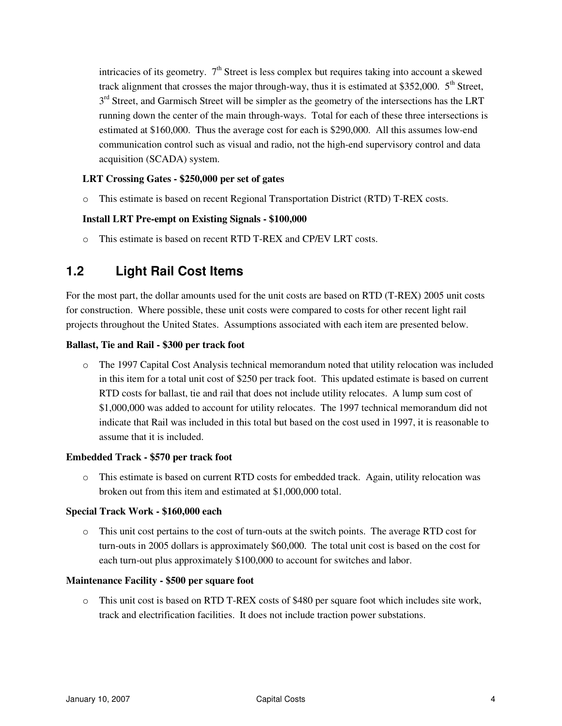intricacies of its geometry.  $7<sup>th</sup>$  Street is less complex but requires taking into account a skewed track alignment that crosses the major through-way, thus it is estimated at \$352,000.  $5<sup>th</sup>$  Street, 3<sup>rd</sup> Street, and Garmisch Street will be simpler as the geometry of the intersections has the LRT running down the center of the main through-ways. Total for each of these three intersections is estimated at \$160,000. Thus the average cost for each is \$290,000. All this assumes low-end communication control such as visual and radio, not the high-end supervisory control and data acquisition (SCADA) system.

#### **LRT Crossing Gates - \$250,000 per set of gates**

o This estimate is based on recent Regional Transportation District (RTD) T-REX costs.

#### **Install LRT Pre-empt on Existing Signals - \$100,000**

o This estimate is based on recent RTD T-REX and CP/EV LRT costs.

### **1.2 Light Rail Cost Items**

For the most part, the dollar amounts used for the unit costs are based on RTD (T-REX) 2005 unit costs for construction. Where possible, these unit costs were compared to costs for other recent light rail projects throughout the United States. Assumptions associated with each item are presented below.

#### **Ballast, Tie and Rail - \$300 per track foot**

o The 1997 Capital Cost Analysis technical memorandum noted that utility relocation was included in this item for a total unit cost of \$250 per track foot. This updated estimate is based on current RTD costs for ballast, tie and rail that does not include utility relocates. A lump sum cost of \$1,000,000 was added to account for utility relocates. The 1997 technical memorandum did not indicate that Rail was included in this total but based on the cost used in 1997, it is reasonable to assume that it is included.

#### **Embedded Track - \$570 per track foot**

o This estimate is based on current RTD costs for embedded track. Again, utility relocation was broken out from this item and estimated at \$1,000,000 total.

#### **Special Track Work - \$160,000 each**

o This unit cost pertains to the cost of turn-outs at the switch points. The average RTD cost for turn-outs in 2005 dollars is approximately \$60,000. The total unit cost is based on the cost for each turn-out plus approximately \$100,000 to account for switches and labor.

#### **Maintenance Facility - \$500 per square foot**

o This unit cost is based on RTD T-REX costs of \$480 per square foot which includes site work, track and electrification facilities. It does not include traction power substations.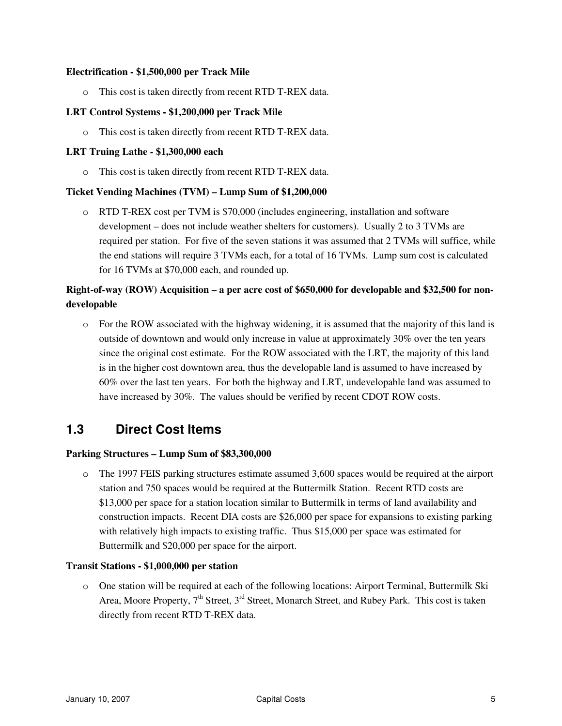#### **Electrification - \$1,500,000 per Track Mile**

o This cost is taken directly from recent RTD T-REX data.

#### **LRT Control Systems - \$1,200,000 per Track Mile**

o This cost is taken directly from recent RTD T-REX data.

#### **LRT Truing Lathe - \$1,300,000 each**

o This cost is taken directly from recent RTD T-REX data.

#### **Ticket Vending Machines (TVM) – Lump Sum of \$1,200,000**

o RTD T-REX cost per TVM is \$70,000 (includes engineering, installation and software development – does not include weather shelters for customers). Usually 2 to 3 TVMs are required per station. For five of the seven stations it was assumed that 2 TVMs will suffice, while the end stations will require 3 TVMs each, for a total of 16 TVMs. Lump sum cost is calculated for 16 TVMs at \$70,000 each, and rounded up.

#### **Right-of-way (ROW) Acquisition – a per acre cost of \$650,000 for developable and \$32,500 for nondevelopable**

o For the ROW associated with the highway widening, it is assumed that the majority of this land is outside of downtown and would only increase in value at approximately 30% over the ten years since the original cost estimate. For the ROW associated with the LRT, the majority of this land is in the higher cost downtown area, thus the developable land is assumed to have increased by 60% over the last ten years. For both the highway and LRT, undevelopable land was assumed to have increased by 30%. The values should be verified by recent CDOT ROW costs.

### **1.3 Direct Cost Items**

#### **Parking Structures – Lump Sum of \$83,300,000**

o The 1997 FEIS parking structures estimate assumed 3,600 spaces would be required at the airport station and 750 spaces would be required at the Buttermilk Station. Recent RTD costs are \$13,000 per space for a station location similar to Buttermilk in terms of land availability and construction impacts. Recent DIA costs are \$26,000 per space for expansions to existing parking with relatively high impacts to existing traffic. Thus \$15,000 per space was estimated for Buttermilk and \$20,000 per space for the airport.

#### **Transit Stations - \$1,000,000 per station**

o One station will be required at each of the following locations: Airport Terminal, Buttermilk Ski Area, Moore Property,  $7<sup>th</sup>$  Street,  $3<sup>rd</sup>$  Street, Monarch Street, and Rubey Park. This cost is taken directly from recent RTD T-REX data.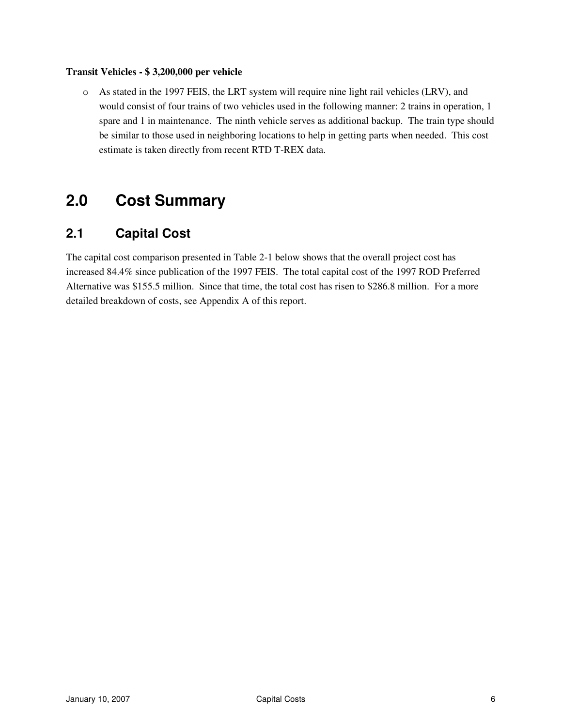#### **Transit Vehicles - \$ 3,200,000 per vehicle**

o As stated in the 1997 FEIS, the LRT system will require nine light rail vehicles (LRV), and would consist of four trains of two vehicles used in the following manner: 2 trains in operation, 1 spare and 1 in maintenance. The ninth vehicle serves as additional backup. The train type should be similar to those used in neighboring locations to help in getting parts when needed. This cost estimate is taken directly from recent RTD T-REX data.

## **2.0 Cost Summary**

### **2.1 Capital Cost**

The capital cost comparison presented in Table 2-1 below shows that the overall project cost has increased 84.4% since publication of the 1997 FEIS. The total capital cost of the 1997 ROD Preferred Alternative was \$155.5 million. Since that time, the total cost has risen to \$286.8 million. For a more detailed breakdown of costs, see Appendix A of this report.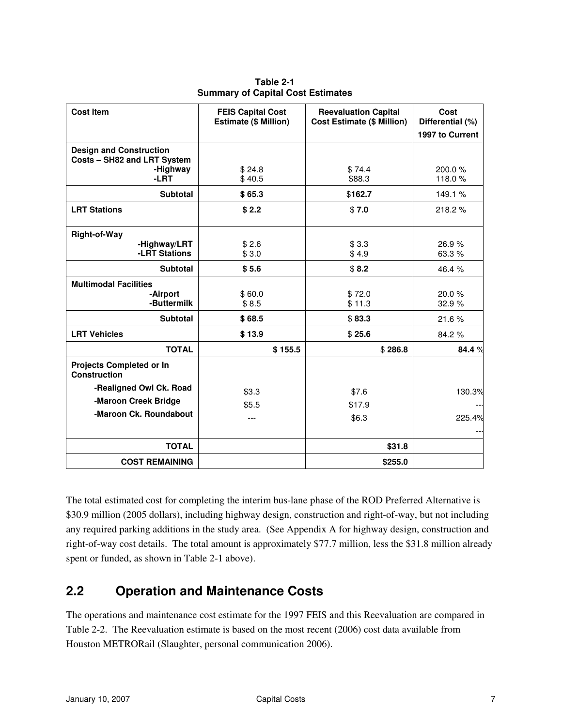| <b>Cost Item</b>                                              | <b>FEIS Capital Cost</b><br><b>Estimate (\$ Million)</b> | <b>Reevaluation Capital</b><br><b>Cost Estimate (\$ Million)</b> | Cost<br>Differential (%) |  |
|---------------------------------------------------------------|----------------------------------------------------------|------------------------------------------------------------------|--------------------------|--|
|                                                               |                                                          |                                                                  | 1997 to Current          |  |
| <b>Design and Construction</b><br>Costs - SH82 and LRT System |                                                          |                                                                  |                          |  |
| -Highway<br>$-LRT$                                            | \$24.8<br>\$40.5                                         | \$74.4<br>\$88.3                                                 | 200.0%<br>118.0%         |  |
| <b>Subtotal</b>                                               | \$65.3                                                   | \$162.7                                                          | 149.1%                   |  |
| <b>LRT Stations</b>                                           | \$2.2                                                    | \$7.0                                                            | 218.2%                   |  |
| <b>Right-of-Way</b>                                           |                                                          |                                                                  |                          |  |
| -Highway/LRT<br>-LRT Stations                                 | \$2.6<br>\$3.0                                           | \$3.3<br>\$4.9                                                   | 26.9%<br>63.3%           |  |
| <b>Subtotal</b>                                               | \$5.6                                                    | \$8.2                                                            | 46.4%                    |  |
| <b>Multimodal Facilities</b>                                  |                                                          |                                                                  |                          |  |
| -Airport<br>-Buttermilk                                       | \$60.0<br>\$8.5                                          | \$72.0<br>\$11.3                                                 | 20.0%<br>32.9%           |  |
| <b>Subtotal</b>                                               | \$68.5                                                   | \$83.3                                                           | 21.6%                    |  |
| <b>LRT Vehicles</b>                                           | \$13.9                                                   | \$25.6                                                           | 84.2%                    |  |
| <b>TOTAL</b>                                                  | \$155.5                                                  | \$286.8                                                          | 84.4 %                   |  |
| <b>Projects Completed or In</b><br>Construction               |                                                          |                                                                  |                          |  |
| -Realigned Owl Ck. Road                                       | \$3.3                                                    | \$7.6                                                            | 130.3%                   |  |
| -Maroon Creek Bridge                                          | \$5.5                                                    | \$17.9                                                           |                          |  |
| -Maroon Ck. Roundabout                                        | ---                                                      | \$6.3                                                            | 225.4%                   |  |
| <b>TOTAL</b>                                                  |                                                          | \$31.8                                                           |                          |  |
| <b>COST REMAINING</b>                                         |                                                          | \$255.0                                                          |                          |  |

**Table 2-1 Summary of Capital Cost Estimates** 

The total estimated cost for completing the interim bus-lane phase of the ROD Preferred Alternative is \$30.9 million (2005 dollars), including highway design, construction and right-of-way, but not including any required parking additions in the study area. (See Appendix A for highway design, construction and right-of-way cost details. The total amount is approximately \$77.7 million, less the \$31.8 million already spent or funded, as shown in Table 2-1 above).

## **2.2 Operation and Maintenance Costs**

The operations and maintenance cost estimate for the 1997 FEIS and this Reevaluation are compared in Table 2-2. The Reevaluation estimate is based on the most recent (2006) cost data available from Houston METRORail (Slaughter, personal communication 2006).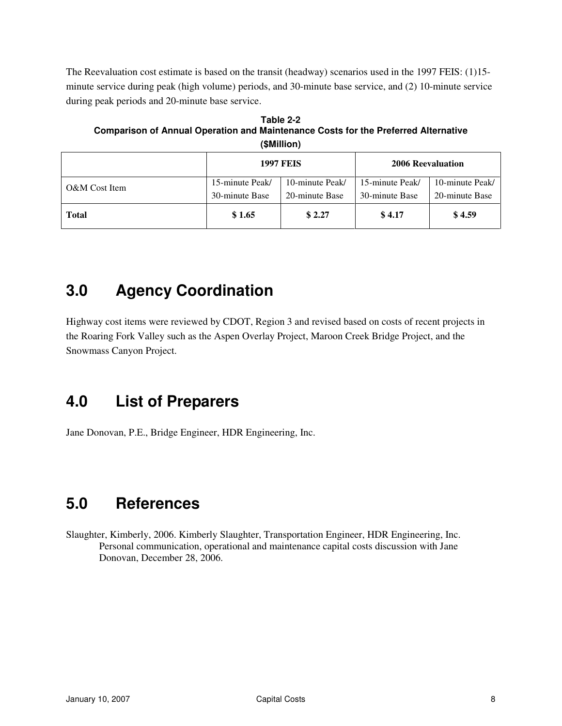The Reevaluation cost estimate is based on the transit (headway) scenarios used in the 1997 FEIS: (1)15 minute service during peak (high volume) periods, and 30-minute base service, and (2) 10-minute service during peak periods and 20-minute base service.

**Table 2-2 Comparison of Annual Operation and Maintenance Costs for the Preferred Alternative (\$Million)** 

|               |                 | <b>1997 FEIS</b> | 2006 Reevaluation |                 |  |
|---------------|-----------------|------------------|-------------------|-----------------|--|
| O&M Cost Item | 15-minute Peak/ | 10-minute Peak/  | 15-minute Peak/   | 10-minute Peak/ |  |
|               | 30-minute Base  | 20-minute Base   | 30-minute Base    | 20-minute Base  |  |
| <b>Total</b>  | \$1.65          | \$2.27           | \$4.17            | \$4.59          |  |

## **3.0 Agency Coordination**

Highway cost items were reviewed by CDOT, Region 3 and revised based on costs of recent projects in the Roaring Fork Valley such as the Aspen Overlay Project, Maroon Creek Bridge Project, and the Snowmass Canyon Project.

## **4.0 List of Preparers**

Jane Donovan, P.E., Bridge Engineer, HDR Engineering, Inc.

## **5.0 References**

Slaughter, Kimberly, 2006. Kimberly Slaughter, Transportation Engineer, HDR Engineering, Inc. Personal communication, operational and maintenance capital costs discussion with Jane Donovan, December 28, 2006.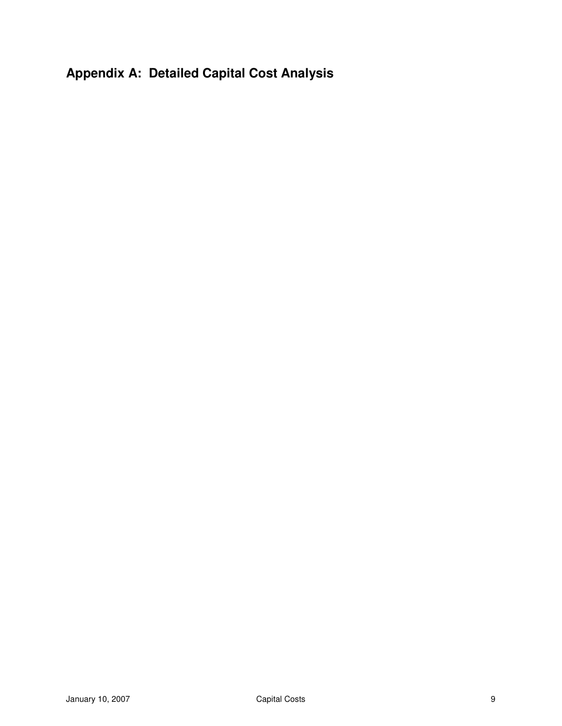## **Appendix A: Detailed Capital Cost Analysis**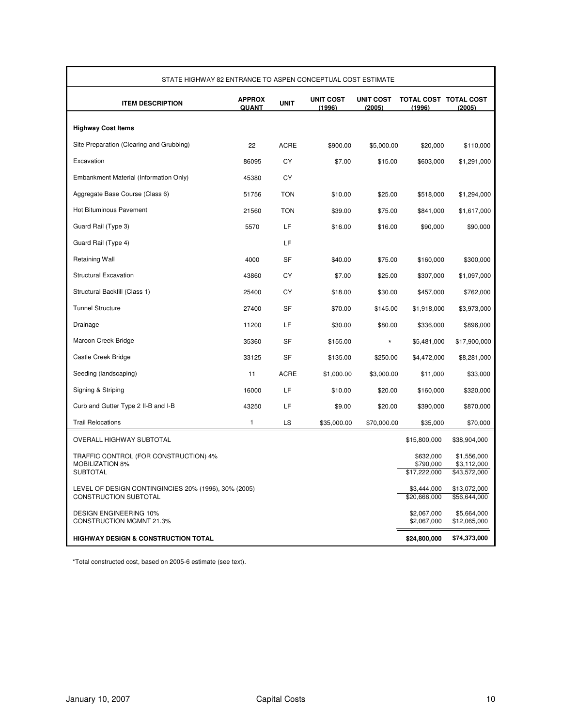| STATE HIGHWAY 82 ENTRANCE TO ASPEN CONCEPTUAL COST ESTIMATE                          |                        |             |                            |                            |                                        |                                            |
|--------------------------------------------------------------------------------------|------------------------|-------------|----------------------------|----------------------------|----------------------------------------|--------------------------------------------|
| <b>ITEM DESCRIPTION</b>                                                              | <b>APPROX</b><br>QUANT | <b>UNIT</b> | <b>UNIT COST</b><br>(1996) | <b>UNIT COST</b><br>(2005) | TOTAL COST TOTAL COST<br>(1996)        | (2005)                                     |
| <b>Highway Cost Items</b>                                                            |                        |             |                            |                            |                                        |                                            |
| Site Preparation (Clearing and Grubbing)                                             | 22                     | <b>ACRE</b> | \$900.00                   | \$5,000.00                 | \$20,000                               | \$110,000                                  |
| Excavation                                                                           | 86095                  | CY          | \$7.00                     | \$15.00                    | \$603,000                              | \$1,291,000                                |
| Embankment Material (Information Only)                                               | 45380                  | CY          |                            |                            |                                        |                                            |
| Aggregate Base Course (Class 6)                                                      | 51756                  | <b>TON</b>  | \$10.00                    | \$25.00                    | \$518,000                              | \$1,294,000                                |
| <b>Hot Bituminous Pavement</b>                                                       | 21560                  | <b>TON</b>  | \$39.00                    | \$75.00                    | \$841,000                              | \$1,617,000                                |
| Guard Rail (Type 3)                                                                  | 5570                   | LF          | \$16.00                    | \$16.00                    | \$90,000                               | \$90,000                                   |
| Guard Rail (Type 4)                                                                  |                        | LF          |                            |                            |                                        |                                            |
| <b>Retaining Wall</b>                                                                | 4000                   | <b>SF</b>   | \$40.00                    | \$75.00                    | \$160,000                              | \$300,000                                  |
| <b>Structural Excavation</b>                                                         | 43860                  | CY          | \$7.00                     | \$25.00                    | \$307,000                              | \$1,097,000                                |
| Structural Backfill (Class 1)                                                        | 25400                  | СY          | \$18.00                    | \$30.00                    | \$457,000                              | \$762,000                                  |
| <b>Tunnel Structure</b>                                                              | 27400                  | <b>SF</b>   | \$70.00                    | \$145.00                   | \$1,918,000                            | \$3,973,000                                |
| Drainage                                                                             | 11200                  | LF          | \$30.00                    | \$80.00                    | \$336,000                              | \$896,000                                  |
| Maroon Creek Bridge                                                                  | 35360                  | <b>SF</b>   | \$155.00                   | $\star$                    | \$5,481,000                            | \$17,900,000                               |
| Castle Creek Bridge                                                                  | 33125                  | <b>SF</b>   | \$135.00                   | \$250.00                   | \$4,472,000                            | \$8,281,000                                |
| Seeding (landscaping)                                                                | 11                     | <b>ACRE</b> | \$1,000.00                 | \$3,000.00                 | \$11,000                               | \$33,000                                   |
| Signing & Striping                                                                   | 16000                  | LF          | \$10.00                    | \$20.00                    | \$160,000                              | \$320,000                                  |
| Curb and Gutter Type 2 II-B and I-B                                                  | 43250                  | LF          | \$9.00                     | \$20.00                    | \$390,000                              | \$870,000                                  |
| <b>Trail Relocations</b>                                                             | 1                      | LS          | \$35,000.00                | \$70,000.00                | \$35,000                               | \$70,000                                   |
| OVERALL HIGHWAY SUBTOTAL                                                             |                        |             |                            |                            | \$15,800,000                           | \$38,904,000                               |
| TRAFFIC CONTROL (FOR CONSTRUCTION) 4%<br><b>MOBILIZATION 8%</b><br><b>SUBTOTAL</b>   |                        |             |                            |                            | \$632,000<br>\$790,000<br>\$17,222,000 | \$1,556,000<br>\$3,112,000<br>\$43,572,000 |
| LEVEL OF DESIGN CONTINGINCIES 20% (1996), 30% (2005)<br><b>CONSTRUCTION SUBTOTAL</b> |                        |             |                            |                            | \$3,444,000<br>\$20,666,000            | \$13,072,000<br>\$56,644,000               |
| <b>DESIGN ENGINEERING 10%</b><br><b>CONSTRUCTION MGMNT 21.3%</b>                     |                        |             |                            |                            | \$2,067,000<br>\$2,067,000             | \$5,664,000<br>\$12,065,000                |
| <b>HIGHWAY DESIGN &amp; CONSTRUCTION TOTAL</b>                                       |                        |             |                            |                            |                                        | \$74,373,000                               |

\*Total constructed cost, based on 2005-6 estimate (see text).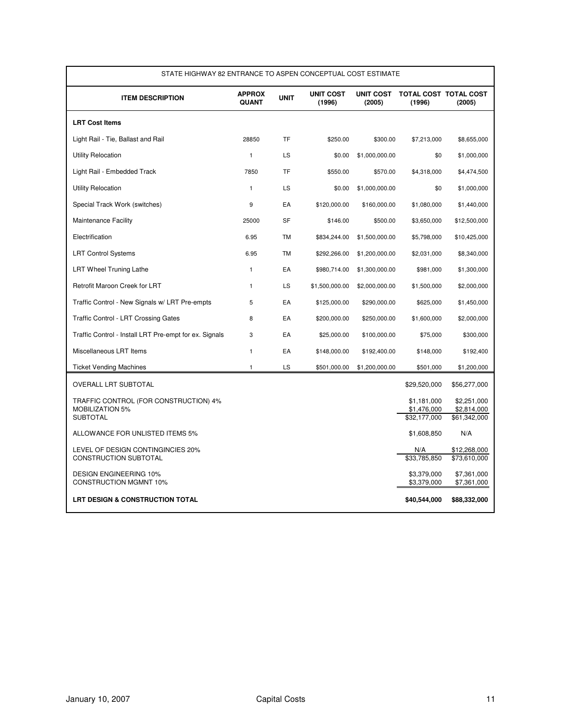| STATE HIGHWAY 82 ENTRANCE TO ASPEN CONCEPTUAL COST ESTIMATE                        |                        |             |                            |                |                                            |                                            |
|------------------------------------------------------------------------------------|------------------------|-------------|----------------------------|----------------|--------------------------------------------|--------------------------------------------|
| <b>ITEM DESCRIPTION</b>                                                            | <b>APPROX</b><br>QUANT | <b>UNIT</b> | <b>UNIT COST</b><br>(1996) | (2005)         | UNIT COST TOTAL COST TOTAL COST<br>(1996)  | (2005)                                     |
| <b>LRT Cost Items</b>                                                              |                        |             |                            |                |                                            |                                            |
| Light Rail - Tie, Ballast and Rail                                                 | 28850                  | <b>TF</b>   | \$250.00                   | \$300.00       | \$7,213,000                                | \$8,655,000                                |
| <b>Utility Relocation</b>                                                          | $\mathbf{1}$           | <b>LS</b>   | \$0.00                     | \$1,000,000.00 | \$0                                        | \$1,000,000                                |
| Light Rail - Embedded Track                                                        | 7850                   | <b>TF</b>   | \$550.00                   | \$570.00       | \$4,318,000                                | \$4,474,500                                |
| <b>Utility Relocation</b>                                                          | $\mathbf{1}$           | <b>LS</b>   | \$0.00                     | \$1,000,000.00 | \$0                                        | \$1,000,000                                |
| Special Track Work (switches)                                                      | 9                      | EA          | \$120,000.00               | \$160,000.00   | \$1,080,000                                | \$1,440,000                                |
| <b>Maintenance Facility</b>                                                        | 25000                  | <b>SF</b>   | \$146.00                   | \$500.00       | \$3,650,000                                | \$12,500,000                               |
| Electrification                                                                    | 6.95                   | TM          | \$834,244.00               | \$1,500,000.00 | \$5,798,000                                | \$10,425,000                               |
| <b>LRT Control Systems</b>                                                         | 6.95                   | TM          | \$292,266.00               | \$1,200,000.00 | \$2,031,000                                | \$8,340,000                                |
| <b>LRT Wheel Truning Lathe</b>                                                     | $\mathbf{1}$           | EA          | \$980,714.00               | \$1,300,000.00 | \$981,000                                  | \$1,300,000                                |
| Retrofit Maroon Creek for LRT                                                      | $\mathbf{1}$           | LS          | \$1,500,000.00             | \$2,000,000.00 | \$1,500,000                                | \$2,000,000                                |
| Traffic Control - New Signals w/ LRT Pre-empts                                     | 5                      | EA          | \$125,000.00               | \$290,000.00   | \$625,000                                  | \$1,450,000                                |
| Traffic Control - LRT Crossing Gates                                               | 8                      | EA          | \$200,000.00               | \$250,000.00   | \$1,600,000                                | \$2,000,000                                |
| Traffic Control - Install LRT Pre-empt for ex. Signals                             | 3                      | EA          | \$25,000.00                | \$100,000.00   | \$75,000                                   | \$300,000                                  |
| Miscellaneous LRT Items                                                            | $\mathbf{1}$           | EA          | \$148,000.00               | \$192,400.00   | \$148,000                                  | \$192,400                                  |
| <b>Ticket Vending Machines</b>                                                     | $\mathbf{1}$           | LS          | \$501,000.00               | \$1,200,000.00 | \$501,000                                  | \$1,200,000                                |
| OVERALL LRT SUBTOTAL                                                               |                        |             |                            |                | \$29,520,000                               | \$56,277,000                               |
| TRAFFIC CONTROL (FOR CONSTRUCTION) 4%<br><b>MOBILIZATION 5%</b><br><b>SUBTOTAL</b> |                        |             |                            |                | \$1,181,000<br>\$1,476,000<br>\$32,177,000 | \$2,251,000<br>\$2,814,000<br>\$61,342,000 |
| ALLOWANCE FOR UNLISTED ITEMS 5%                                                    |                        |             |                            |                | \$1,608,850                                | N/A                                        |
| LEVEL OF DESIGN CONTINGINCIES 20%<br><b>CONSTRUCTION SUBTOTAL</b>                  |                        |             |                            |                | N/A<br>\$33,785,850                        | \$12,268,000<br>$\overline{$}73,610,000$   |
| <b>DESIGN ENGINEERING 10%</b><br><b>CONSTRUCTION MGMNT 10%</b>                     |                        |             |                            |                | \$3.379.000<br>\$3,379,000                 | \$7,361,000<br>\$7,361,000                 |
| LRT DESIGN & CONSTRUCTION TOTAL                                                    |                        |             |                            |                | \$40,544,000                               | \$88,332,000                               |